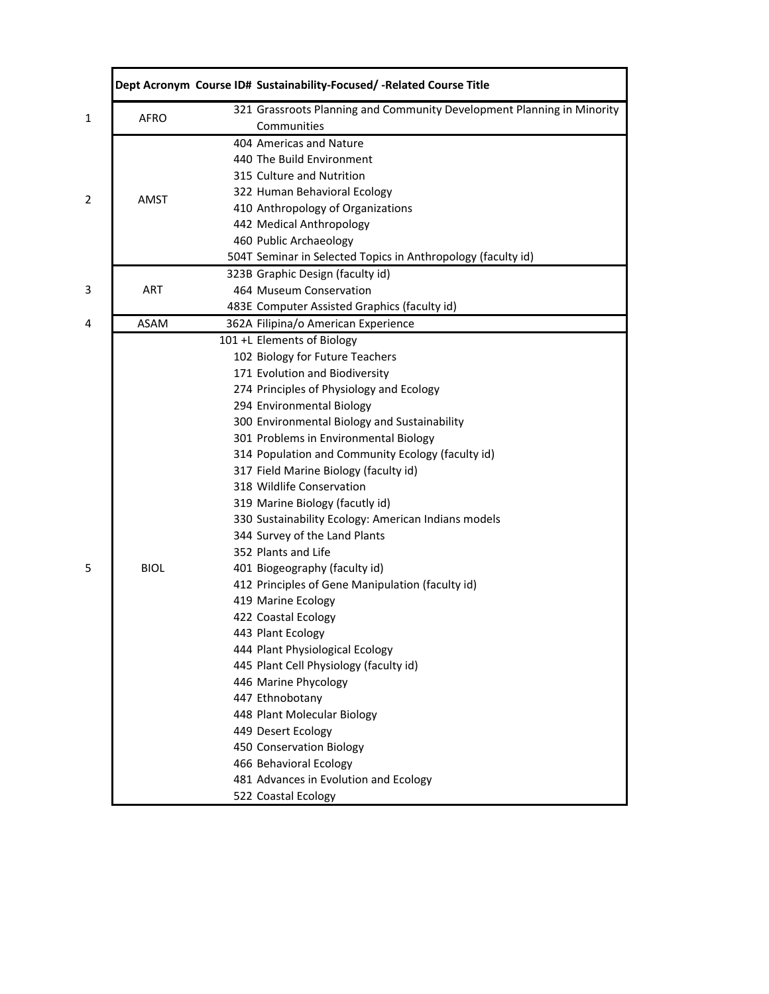|             | Dept Acronym Course ID# Sustainability-Focused/-Related Course Title                  |
|-------------|---------------------------------------------------------------------------------------|
| <b>AFRO</b> | 321 Grassroots Planning and Community Development Planning in Minority<br>Communities |
|             | 404 Americas and Nature                                                               |
|             | 440 The Build Environment                                                             |
|             | 315 Culture and Nutrition                                                             |
|             | 322 Human Behavioral Ecology                                                          |
| AMST        | 410 Anthropology of Organizations                                                     |
|             | 442 Medical Anthropology                                                              |
|             | 460 Public Archaeology                                                                |
|             | 504T Seminar in Selected Topics in Anthropology (faculty id)                          |
|             | 323B Graphic Design (faculty id)                                                      |
| <b>ART</b>  | 464 Museum Conservation                                                               |
|             | 483E Computer Assisted Graphics (faculty id)                                          |
| <b>ASAM</b> | 362A Filipina/o American Experience                                                   |
|             | 101 +L Elements of Biology                                                            |
|             | 102 Biology for Future Teachers                                                       |
|             | 171 Evolution and Biodiversity                                                        |
|             | 274 Principles of Physiology and Ecology                                              |
|             | 294 Environmental Biology                                                             |
|             | 300 Environmental Biology and Sustainability                                          |
|             | 301 Problems in Environmental Biology                                                 |
|             | 314 Population and Community Ecology (faculty id)                                     |
|             | 317 Field Marine Biology (faculty id)                                                 |
|             | 318 Wildlife Conservation                                                             |
|             | 319 Marine Biology (facutly id)                                                       |
|             | 330 Sustainability Ecology: American Indians models                                   |
|             | 344 Survey of the Land Plants                                                         |
|             | 352 Plants and Life                                                                   |
| <b>BIOL</b> | 401 Biogeography (faculty id)                                                         |
|             | 412 Principles of Gene Manipulation (faculty id)                                      |
|             | 419 Marine Ecology                                                                    |
|             | 422 Coastal Ecology                                                                   |
|             | 443 Plant Ecology                                                                     |
|             | 444 Plant Physiological Ecology                                                       |
|             | 445 Plant Cell Physiology (faculty id)                                                |
|             | 446 Marine Phycology                                                                  |
|             | 447 Ethnobotany                                                                       |
|             | 448 Plant Molecular Biology                                                           |
|             | 449 Desert Ecology                                                                    |
|             | 450 Conservation Biology                                                              |
|             | 466 Behavioral Ecology                                                                |
|             | 481 Advances in Evolution and Ecology                                                 |
|             | 522 Coastal Ecology                                                                   |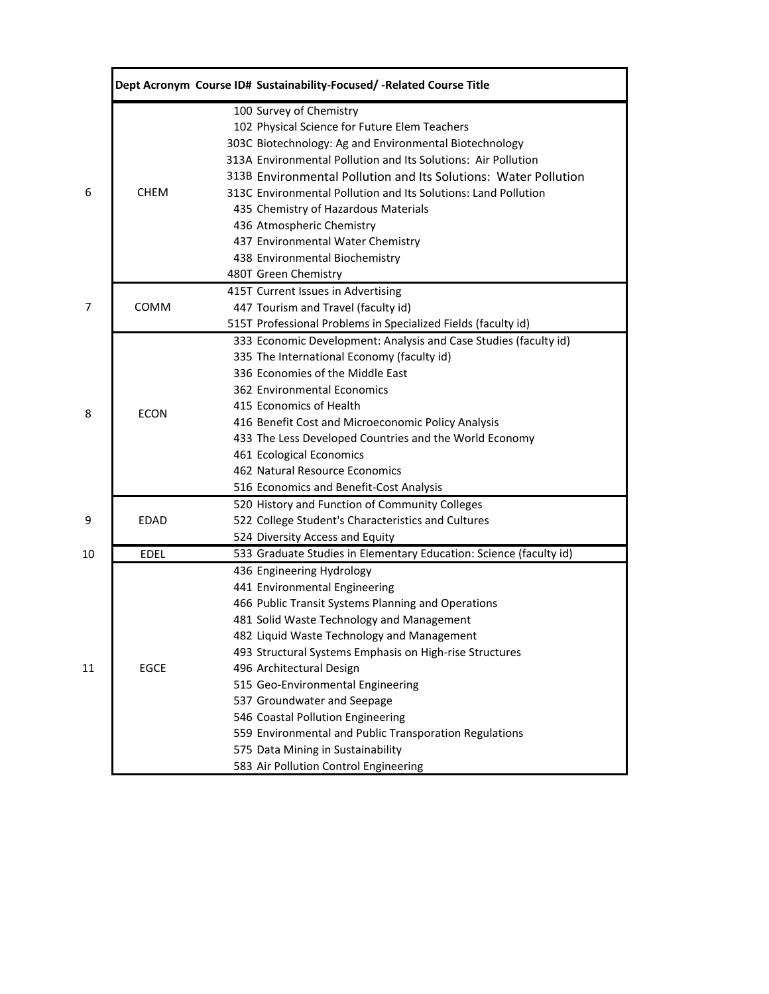|    |             | Dept Acronym Course ID# Sustainability-Focused/ - Related Course Title |
|----|-------------|------------------------------------------------------------------------|
|    |             | 100 Survey of Chemistry                                                |
|    |             | 102 Physical Science for Future Elem Teachers                          |
|    |             | 303C Biotechnology: Ag and Environmental Biotechnology                 |
|    |             | 313A Environmental Pollution and Its Solutions: Air Pollution          |
|    |             | 313B Environmental Pollution and Its Solutions: Water Pollution        |
| 6  | <b>CHEM</b> | 313C Environmental Pollution and Its Solutions: Land Pollution         |
|    |             | 435 Chemistry of Hazardous Materials                                   |
|    |             | 436 Atmospheric Chemistry                                              |
|    |             | 437 Environmental Water Chemistry                                      |
|    |             | 438 Environmental Biochemistry                                         |
|    |             | 480T Green Chemistry                                                   |
|    |             | 415T Current Issues in Advertising                                     |
| 7  | COMM        | 447 Tourism and Travel (faculty id)                                    |
|    |             | 515T Professional Problems in Specialized Fields (faculty id)          |
|    |             | 333 Economic Development: Analysis and Case Studies (faculty id)       |
|    |             | 335 The International Economy (faculty id)                             |
|    |             | 336 Economies of the Middle East                                       |
|    |             | 362 Environmental Economics                                            |
|    |             | 415 Economics of Health                                                |
| 8  | <b>ECON</b> | 416 Benefit Cost and Microeconomic Policy Analysis                     |
|    |             | 433 The Less Developed Countries and the World Economy                 |
|    |             | 461 Ecological Economics                                               |
|    |             | 462 Natural Resource Economics                                         |
|    |             | 516 Economics and Benefit-Cost Analysis                                |
|    |             | 520 History and Function of Community Colleges                         |
| 9  | <b>EDAD</b> | 522 College Student's Characteristics and Cultures                     |
|    |             | 524 Diversity Access and Equity                                        |
| 10 | <b>EDEL</b> | 533 Graduate Studies in Elementary Education: Science (faculty id)     |
|    |             | 436 Engineering Hydrology                                              |
|    |             | 441 Environmental Engineering                                          |
|    |             | 466 Public Transit Systems Planning and Operations                     |
|    |             | 481 Solid Waste Technology and Management                              |
|    |             | 482 Liquid Waste Technology and Management                             |
|    |             | 493 Structural Systems Emphasis on High-rise Structures                |
| 11 | <b>EGCE</b> | 496 Architectural Design                                               |
|    |             | 515 Geo-Environmental Engineering                                      |
|    |             | 537 Groundwater and Seepage                                            |
|    |             | 546 Coastal Pollution Engineering                                      |
|    |             | 559 Environmental and Public Transporation Regulations                 |
|    |             | 575 Data Mining in Sustainability                                      |
|    |             | 583 Air Pollution Control Engineering                                  |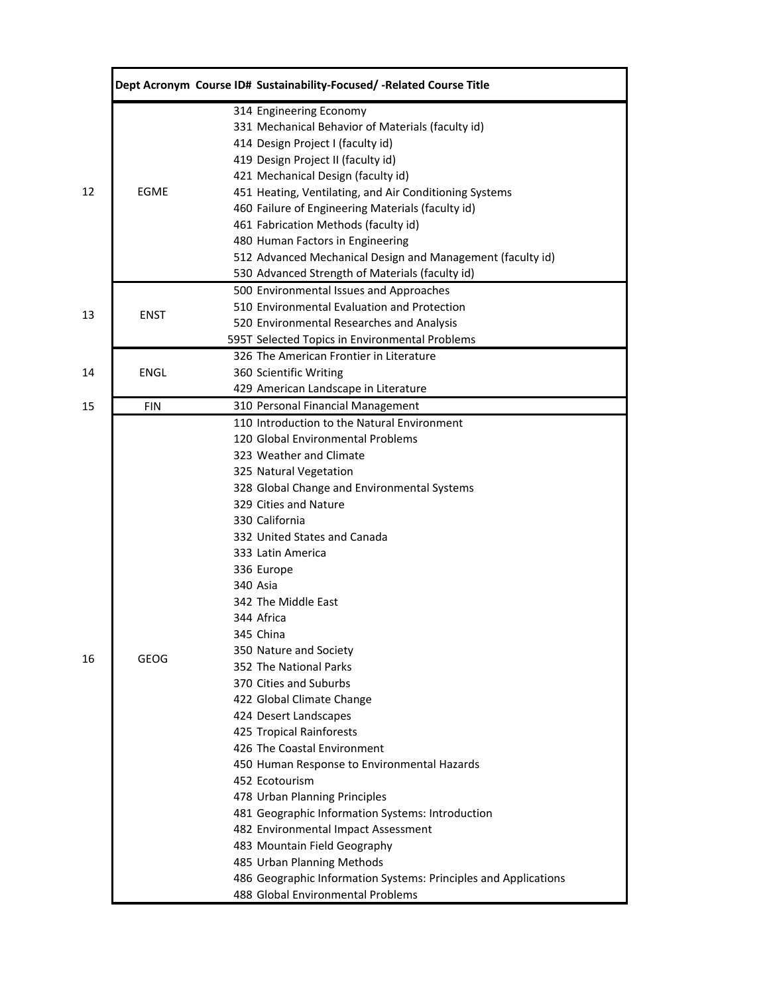|    |             | Dept Acronym Course ID# Sustainability-Focused/-Related Course Title |
|----|-------------|----------------------------------------------------------------------|
|    |             | 314 Engineering Economy                                              |
|    |             | 331 Mechanical Behavior of Materials (faculty id)                    |
|    |             | 414 Design Project I (faculty id)                                    |
|    |             | 419 Design Project II (faculty id)                                   |
|    |             | 421 Mechanical Design (faculty id)                                   |
| 12 | <b>EGME</b> | 451 Heating, Ventilating, and Air Conditioning Systems               |
|    |             | 460 Failure of Engineering Materials (faculty id)                    |
|    |             | 461 Fabrication Methods (faculty id)                                 |
|    |             | 480 Human Factors in Engineering                                     |
|    |             | 512 Advanced Mechanical Design and Management (faculty id)           |
|    |             | 530 Advanced Strength of Materials (faculty id)                      |
|    |             | 500 Environmental Issues and Approaches                              |
|    |             | 510 Environmental Evaluation and Protection                          |
| 13 | <b>ENST</b> | 520 Environmental Researches and Analysis                            |
|    |             | 595T Selected Topics in Environmental Problems                       |
|    |             | 326 The American Frontier in Literature                              |
| 14 | ENGL        | 360 Scientific Writing                                               |
|    |             | 429 American Landscape in Literature                                 |
| 15 | <b>FIN</b>  | 310 Personal Financial Management                                    |
|    |             | 110 Introduction to the Natural Environment                          |
|    |             | 120 Global Environmental Problems                                    |
|    |             | 323 Weather and Climate                                              |
|    |             | 325 Natural Vegetation                                               |
|    |             | 328 Global Change and Environmental Systems                          |
|    |             | 329 Cities and Nature                                                |
|    |             | 330 California                                                       |
|    |             | 332 United States and Canada                                         |
|    |             | 333 Latin America                                                    |
|    |             | 336 Europe                                                           |
|    |             | 340 Asia                                                             |
|    |             | 342 The Middle East                                                  |
|    |             | 344 Africa                                                           |
|    |             | 345 China                                                            |
|    |             | 350 Nature and Society                                               |
| 16 | <b>GEOG</b> | 352 The National Parks                                               |
|    |             | 370 Cities and Suburbs                                               |
|    |             | 422 Global Climate Change                                            |
|    |             | 424 Desert Landscapes                                                |
|    |             | 425 Tropical Rainforests                                             |
|    |             | 426 The Coastal Environment                                          |
|    |             | 450 Human Response to Environmental Hazards                          |
|    |             | 452 Ecotourism                                                       |
|    |             | 478 Urban Planning Principles                                        |
|    |             | 481 Geographic Information Systems: Introduction                     |
|    |             | 482 Environmental Impact Assessment                                  |
|    |             | 483 Mountain Field Geography                                         |
|    |             | 485 Urban Planning Methods                                           |
|    |             |                                                                      |
|    |             | 486 Geographic Information Systems: Principles and Applications      |
|    |             | 488 Global Environmental Problems                                    |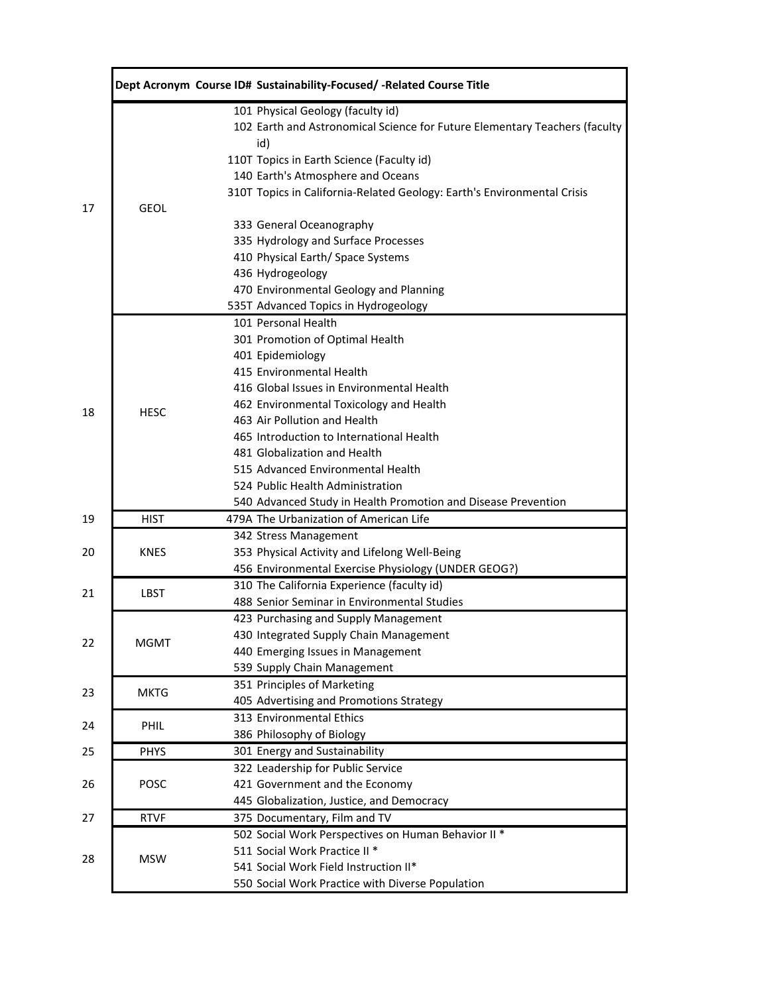|             | Dept Acronym Course ID# Sustainability-Focused/-Related Course Title                              |
|-------------|---------------------------------------------------------------------------------------------------|
|             | 101 Physical Geology (faculty id)                                                                 |
|             | 102 Earth and Astronomical Science for Future Elementary Teachers (faculty<br>id)                 |
|             | 110T Topics in Earth Science (Faculty id)                                                         |
|             | 140 Earth's Atmosphere and Oceans                                                                 |
|             | 310T Topics in California-Related Geology: Earth's Environmental Crisis                           |
| <b>GEOL</b> |                                                                                                   |
|             | 333 General Oceanography                                                                          |
|             | 335 Hydrology and Surface Processes                                                               |
|             | 410 Physical Earth/ Space Systems                                                                 |
|             | 436 Hydrogeology                                                                                  |
|             | 470 Environmental Geology and Planning                                                            |
|             | 535T Advanced Topics in Hydrogeology                                                              |
|             | 101 Personal Health                                                                               |
|             | 301 Promotion of Optimal Health                                                                   |
|             | 401 Epidemiology                                                                                  |
|             | 415 Environmental Health                                                                          |
|             | 416 Global Issues in Environmental Health                                                         |
| <b>HESC</b> | 462 Environmental Toxicology and Health                                                           |
|             | 463 Air Pollution and Health                                                                      |
|             | 465 Introduction to International Health                                                          |
|             | 481 Globalization and Health                                                                      |
|             | 515 Advanced Environmental Health                                                                 |
|             | 524 Public Health Administration                                                                  |
|             | 540 Advanced Study in Health Promotion and Disease Prevention                                     |
| <b>HIST</b> | 479A The Urbanization of American Life                                                            |
|             | 342 Stress Management                                                                             |
| <b>KNES</b> | 353 Physical Activity and Lifelong Well-Being                                                     |
|             | 456 Environmental Exercise Physiology (UNDER GEOG?)<br>310 The California Experience (faculty id) |
| <b>LBST</b> | 488 Senior Seminar in Environmental Studies                                                       |
|             |                                                                                                   |
|             | 423 Purchasing and Supply Management<br>430 Integrated Supply Chain Management                    |
| <b>MGMT</b> | 440 Emerging Issues in Management                                                                 |
|             | 539 Supply Chain Management                                                                       |
|             | 351 Principles of Marketing                                                                       |
| <b>MKTG</b> | 405 Advertising and Promotions Strategy                                                           |
|             | 313 Environmental Ethics                                                                          |
| PHIL        | 386 Philosophy of Biology                                                                         |
| <b>PHYS</b> | 301 Energy and Sustainability                                                                     |
|             | 322 Leadership for Public Service                                                                 |
| POSC        | 421 Government and the Economy                                                                    |
|             | 445 Globalization, Justice, and Democracy                                                         |
| <b>RTVF</b> | 375 Documentary, Film and TV                                                                      |
|             | 502 Social Work Perspectives on Human Behavior II *                                               |
|             | 511 Social Work Practice II *                                                                     |
| <b>MSW</b>  | 541 Social Work Field Instruction II*                                                             |
|             | 550 Social Work Practice with Diverse Population                                                  |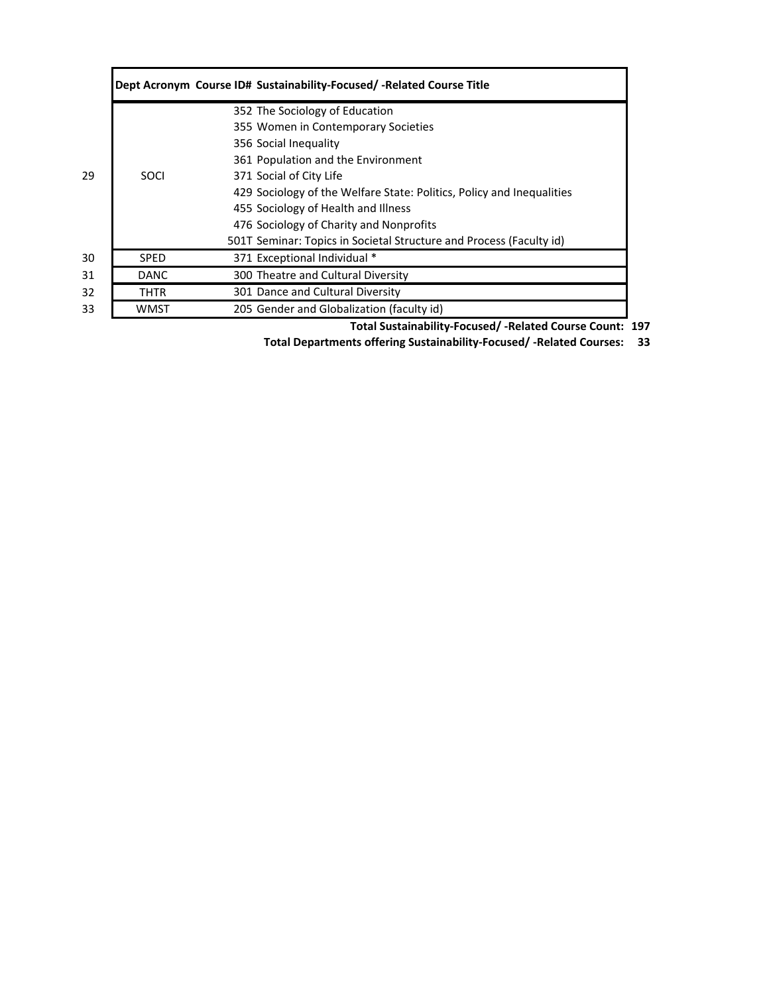|    |             | Dept Acronym Course ID# Sustainability-Focused/-Related Course Title  |
|----|-------------|-----------------------------------------------------------------------|
|    |             | 352 The Sociology of Education                                        |
|    |             | 355 Women in Contemporary Societies                                   |
|    |             | 356 Social Inequality                                                 |
|    |             | 361 Population and the Environment                                    |
| 29 | <b>SOCI</b> | 371 Social of City Life                                               |
|    |             | 429 Sociology of the Welfare State: Politics, Policy and Inequalities |
|    |             | 455 Sociology of Health and Illness                                   |
|    |             | 476 Sociology of Charity and Nonprofits                               |
|    |             | 501T Seminar: Topics in Societal Structure and Process (Faculty id)   |
| 30 | <b>SPED</b> | 371 Exceptional Individual *                                          |
| 31 | DANC        | 300 Theatre and Cultural Diversity                                    |
| 32 | THTR        | 301 Dance and Cultural Diversity                                      |
| 33 | WMST        | 205 Gender and Globalization (faculty id)                             |

**Total Sustainability‐Focused/ ‐Related Course Count: 197**

**33 Total Departments offering Sustainability‐Focused/ ‐Related Courses:**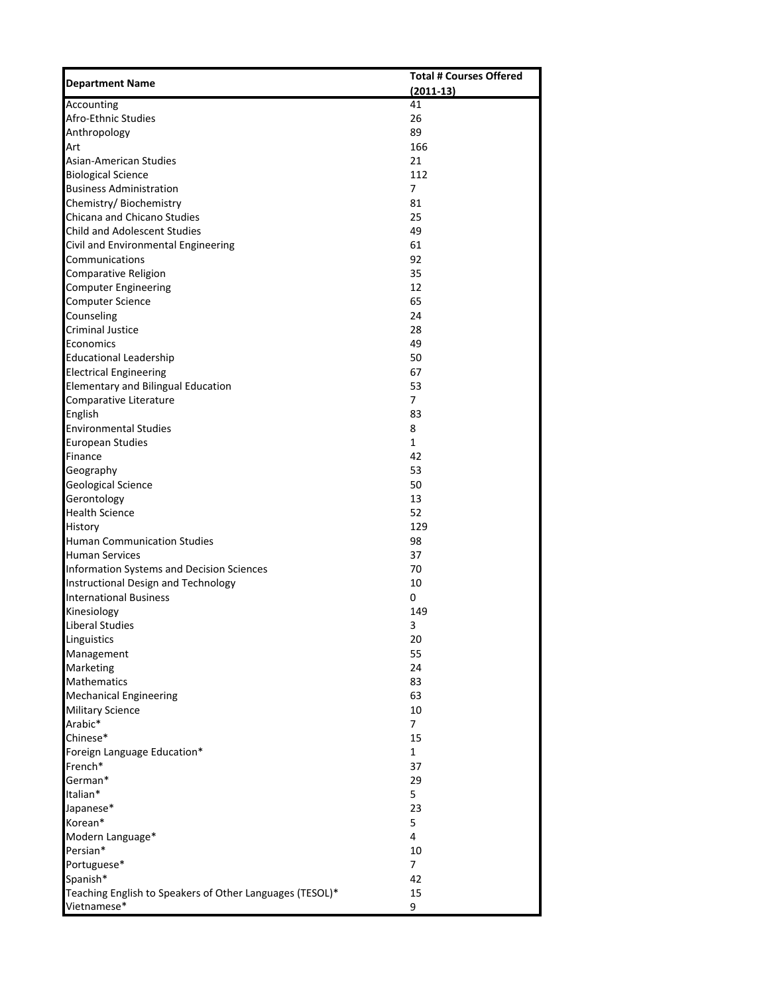| <b>Department Name</b>                                      | <b>Total # Courses Offered</b> |
|-------------------------------------------------------------|--------------------------------|
|                                                             | $(2011-13)$                    |
| Accounting                                                  | 41                             |
| Afro-Ethnic Studies                                         | 26                             |
| Anthropology                                                | 89                             |
| Art                                                         | 166                            |
| <b>Asian-American Studies</b>                               | 21                             |
| <b>Biological Science</b><br><b>Business Administration</b> | 112<br>$\overline{7}$          |
|                                                             | 81                             |
| Chemistry/Biochemistry<br>Chicana and Chicano Studies       | 25                             |
| <b>Child and Adolescent Studies</b>                         | 49                             |
| Civil and Environmental Engineering                         | 61                             |
| Communications                                              | 92                             |
| Comparative Religion                                        | 35                             |
| <b>Computer Engineering</b>                                 | 12                             |
| <b>Computer Science</b>                                     | 65                             |
| Counseling                                                  | 24                             |
| <b>Criminal Justice</b>                                     | 28                             |
| Economics                                                   | 49                             |
| <b>Educational Leadership</b>                               | 50                             |
| <b>Electrical Engineering</b>                               | 67                             |
| <b>Elementary and Bilingual Education</b>                   | 53                             |
| Comparative Literature                                      | 7                              |
| English                                                     | 83                             |
| <b>Environmental Studies</b>                                | 8                              |
| <b>European Studies</b>                                     | $\mathbf 1$                    |
| Finance                                                     | 42                             |
| Geography                                                   | 53                             |
| <b>Geological Science</b>                                   | 50                             |
| Gerontology                                                 | 13                             |
| <b>Health Science</b>                                       | 52                             |
| History                                                     | 129                            |
| <b>Human Communication Studies</b>                          | 98                             |
| <b>Human Services</b>                                       | 37                             |
| Information Systems and Decision Sciences                   | 70                             |
| Instructional Design and Technology                         | 10                             |
| <b>International Business</b>                               | 0                              |
| Kinesiology                                                 | 149                            |
| <b>Liberal Studies</b>                                      | 3                              |
| Linguistics                                                 | 20                             |
| Management                                                  | 55                             |
| Marketing                                                   | 24                             |
| <b>Mathematics</b>                                          | 83                             |
| <b>Mechanical Engineering</b>                               | 63                             |
| <b>Military Science</b>                                     | 10                             |
| Arabic*                                                     | $\overline{7}$                 |
| Chinese*                                                    | 15                             |
| Foreign Language Education*                                 | $\mathbf{1}$                   |
| French*                                                     | 37                             |
| German*                                                     | 29                             |
| Italian*                                                    | 5                              |
| Japanese*                                                   | 23                             |
| Korean*                                                     | 5                              |
| Modern Language*                                            | 4                              |
| Persian*                                                    | 10                             |
| Portuguese*                                                 | $\overline{7}$                 |
| Spanish*                                                    | 42                             |
| Teaching English to Speakers of Other Languages (TESOL)*    | 15                             |
| Vietnamese*                                                 | 9                              |